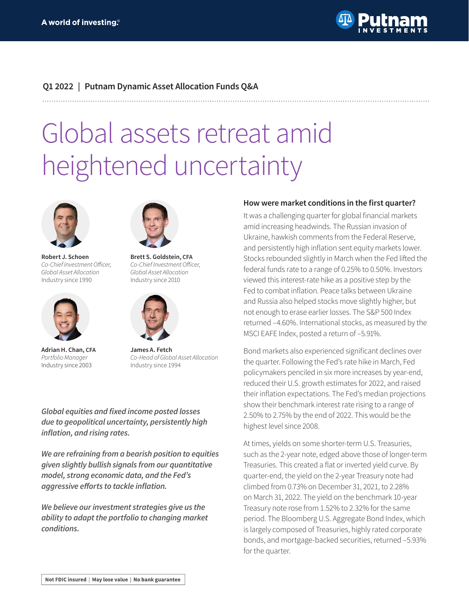

## **Q1 2022 | Putnam Dynamic Asset Allocation Funds Q&A**

# Global assets retreat amid heightened uncertainty



**Robert J. Schoen** Co-Chief Investment Officer, Global Asset Allocation Industry since 1990



**Adrian H. Chan, CFA** Portfolio Manager Industry since 2003



**Brett S. Goldstein, CFA** Co-Chief Investment Officer, Global Asset Allocation Industry since 2010



**James A. Fetch** Co-Head of Global Asset Allocation Industry since 1994

**Global equities and fixed income posted losses due to geopolitical uncertainty, persistently high inflation, and rising rates.**

**We are refraining from a bearish position to equities given slightly bullish signals from our quantitative model, strong economic data, and the Fed's aggressive efforts to tackle inflation.**

**We believe our investment strategies give us the ability to adapt the portfolio to changing market conditions.**

#### **How were market conditions in the first quarter?**

It was a challenging quarter for global financial markets amid increasing headwinds. The Russian invasion of Ukraine, hawkish comments from the Federal Reserve, and persistently high inflation sent equity markets lower. Stocks rebounded slightly in March when the Fed lifted the federal funds rate to a range of 0.25% to 0.50%. Investors viewed this interest-rate hike as a positive step by the Fed to combat inflation. Peace talks between Ukraine and Russia also helped stocks move slightly higher, but not enough to erase earlier losses. The S&P 500 Index returned –4.60%. International stocks, as measured by the MSCI EAFE Index, posted a return of –5.91%.

Bond markets also experienced significant declines over the quarter. Following the Fed's rate hike in March, Fed policymakers penciled in six more increases by year-end, reduced their U.S. growth estimates for 2022, and raised their inflation expectations. The Fed's median projections show their benchmark interest rate rising to a range of 2.50% to 2.75% by the end of 2022. This would be the highest level since 2008.

At times, yields on some shorter-term U.S. Treasuries, such as the 2-year note, edged above those of longer-term Treasuries. This created a flat or inverted yield curve. By quarter-end, the yield on the 2-year Treasury note had climbed from 0.73% on December 31, 2021, to 2.28% on March 31, 2022. The yield on the benchmark 10-year Treasury note rose from 1.52% to 2.32% for the same period. The Bloomberg U.S. Aggregate Bond Index, which is largely composed of Treasuries, highly rated corporate bonds, and mortgage-backed securities, returned –5.93% for the quarter.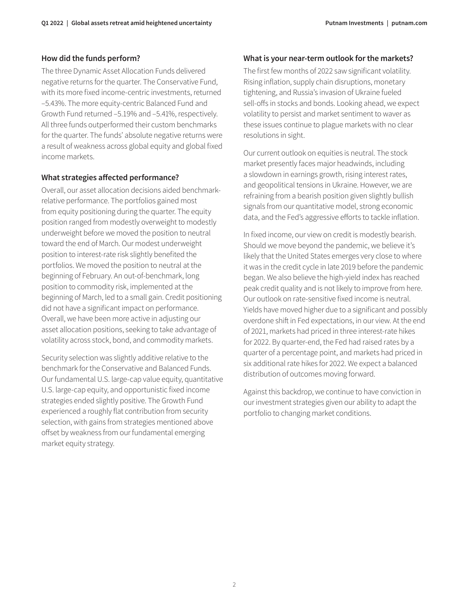#### **How did the funds perform?**

The three Dynamic Asset Allocation Funds delivered negative returns for the quarter. The Conservative Fund, with its more fixed income-centric investments, returned –5.43%. The more equity-centric Balanced Fund and Growth Fund returned –5.19% and –5.41%, respectively. All three funds outperformed their custom benchmarks for the quarter. The funds' absolute negative returns were a result of weakness across global equity and global fixed income markets.

#### **What strategies affected performance?**

Overall, our asset allocation decisions aided benchmarkrelative performance. The portfolios gained most from equity positioning during the quarter. The equity position ranged from modestly overweight to modestly underweight before we moved the position to neutral toward the end of March. Our modest underweight position to interest-rate risk slightly benefited the portfolios. We moved the position to neutral at the beginning of February. An out-of-benchmark, long position to commodity risk, implemented at the beginning of March, led to a small gain. Credit positioning did not have a significant impact on performance. Overall, we have been more active in adjusting our asset allocation positions, seeking to take advantage of volatility across stock, bond, and commodity markets.

Security selection was slightly additive relative to the benchmark for the Conservative and Balanced Funds. Our fundamental U.S. large-cap value equity, quantitative U.S. large-cap equity, and opportunistic fixed income strategies ended slightly positive. The Growth Fund experienced a roughly flat contribution from security selection, with gains from strategies mentioned above offset by weakness from our fundamental emerging market equity strategy.

## **What is your near-term outlook for the markets?**

The first few months of 2022 saw significant volatility. Rising inflation, supply chain disruptions, monetary tightening, and Russia's invasion of Ukraine fueled sell-offs in stocks and bonds. Looking ahead, we expect volatility to persist and market sentiment to waver as these issues continue to plague markets with no clear resolutions in sight.

Our current outlook on equities is neutral. The stock market presently faces major headwinds, including a slowdown in earnings growth, rising interest rates, and geopolitical tensions in Ukraine. However, we are refraining from a bearish position given slightly bullish signals from our quantitative model, strong economic data, and the Fed's aggressive efforts to tackle inflation.

In fixed income, our view on credit is modestly bearish. Should we move beyond the pandemic, we believe it's likely that the United States emerges very close to where it was in the credit cycle in late 2019 before the pandemic began. We also believe the high-yield index has reached peak credit quality and is not likely to improve from here. Our outlook on rate-sensitive fixed income is neutral. Yields have moved higher due to a significant and possibly overdone shift in Fed expectations, in our view. At the end of 2021, markets had priced in three interest-rate hikes for 2022. By quarter-end, the Fed had raised rates by a quarter of a percentage point, and markets had priced in six additional rate hikes for 2022. We expect a balanced distribution of outcomes moving forward.

Against this backdrop, we continue to have conviction in our investment strategies given our ability to adapt the portfolio to changing market conditions.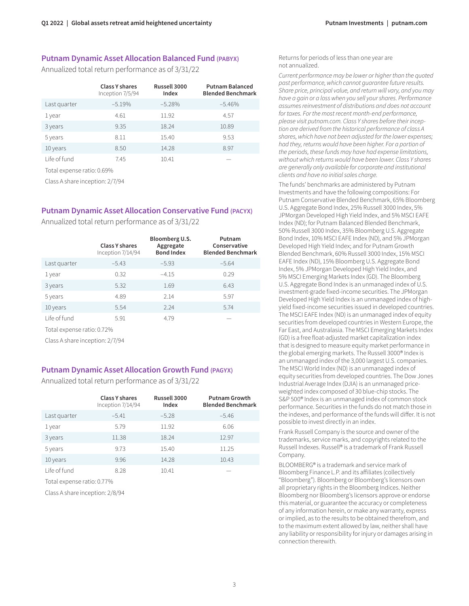#### **Putnam Dynamic Asset Allocation Balanced Fund (PABYX)**

Annualized total return performance as of 3/31/22

|              | <b>Class Y shares</b><br>Inception 7/5/94 | Russell 3000<br>Index | <b>Putnam Balanced</b><br><b>Blended Benchmark</b> |
|--------------|-------------------------------------------|-----------------------|----------------------------------------------------|
| Last quarter | $-5.19%$                                  | $-5.28%$              | $-5.46%$                                           |
| 1 year       | 4.61                                      | 11.92                 | 4.57                                               |
| 3 years      | 9.35                                      | 18.24                 | 10.89                                              |
| 5 years      | 8.11                                      | 15.40                 | 9.53                                               |
| 10 years     | 8.50                                      | 14.28                 | 8.97                                               |
| Life of fund | 7.45                                      | 10.41                 |                                                    |
| __           |                                           |                       |                                                    |

Total expense ratio: 0.69%

Class A share inception: 2/7/94

# **Putnam Dynamic Asset Allocation Conservative Fund (PACYX)**

Annualized total return performance as of 3/31/22

|                            | <b>Class Y shares</b><br>Inception 7/14/94 | Bloomberg U.S.<br>Aggregate<br><b>Bond Index</b> | Putnam<br>Conservative<br><b>Blended Benchmark</b> |  |  |
|----------------------------|--------------------------------------------|--------------------------------------------------|----------------------------------------------------|--|--|
| Last quarter               | $-5.43$                                    | $-5.93$                                          | $-5.64$                                            |  |  |
| 1 year                     | 0.32                                       | $-4.15$                                          | 0.29                                               |  |  |
| 3 years                    | 5.32                                       | 1.69                                             | 6.43                                               |  |  |
| 5 years                    | 4.89                                       | 2.14                                             | 5.97                                               |  |  |
| 10 years                   | 5.54                                       | 2.24                                             | 5.74                                               |  |  |
| Life of fund               | 5.91                                       | 4.79                                             |                                                    |  |  |
| Total expense ratio: 0.72% |                                            |                                                  |                                                    |  |  |

Class A share inception: 2/7/94

### **Putnam Dynamic Asset Allocation Growth Fund (PAGYX)**

Annualized total return performance as of 3/31/22

|              | <b>Class Y shares</b><br>Inception 7/14/94 | Russell 3000<br>Index | <b>Putnam Growth</b><br><b>Blended Benchmark</b> |
|--------------|--------------------------------------------|-----------------------|--------------------------------------------------|
| Last quarter | $-5.41$                                    | $-5.28$               | $-5.46$                                          |
| 1 year       | 5.79                                       | 11.92                 | 6.06                                             |
| 3 years      | 11.38                                      | 18.24                 | 12.97                                            |
| 5 years      | 9.73                                       | 15.40                 | 11.25                                            |
| 10 years     | 9.96                                       | 14.28                 | 10.43                                            |
| Life of fund | 8.28                                       | 10.41                 |                                                  |

Total expense ratio: 0.77%

Class A share inception: 2/8/94

Returns for periods of less than one year are not annualized.

Current performance may be lower or higher than the quoted past performance, which cannot guarantee future results. Share price, principal value, and return will vary, and you may have a gain or a loss when you sell your shares. Performance assumes reinvestment of distributions and does not account for taxes. For the most recent month-end performance, please visit [putnam.com.](https://www.putnam.com?ref=TL059.pdf) Class Y shares before their inception are derived from the historical performance of class A shares, which have not been adjusted for the lower expenses; had they, returns would have been higher. For a portion of the periods, these funds may have had expense limitations, without which returns would have been lower. Class Y shares are generally only available for corporate and institutional clients and have no initial sales charge.

The funds' benchmarks are administered by Putnam Investments and have the following compositions: For Putnam Conservative Blended Benchmark, 65% Bloomberg U.S. Aggregate Bond Index, 25% Russell 3000 Index, 5% JPMorgan Developed High Yield Index, and 5% MSCI EAFE Index (ND); for Putnam Balanced Blended Benchmark, 50% Russell 3000 Index, 35% Bloomberg U.S. Aggregate Bond Index, 10% MSCI EAFE Index (ND), and 5% JPMorgan Developed High Yield Index; and for Putnam Growth Blended Benchmark, 60% Russell 3000 Index, 15% MSCI EAFE Index (ND), 15% Bloomberg U.S. Aggregate Bond Index, 5% JPMorgan Developed High Yield Index, and 5% MSCI Emerging Markets Index (GD). The Bloomberg U.S. Aggregate Bond Index is an unmanaged index of U.S. investment-grade fixed-income securities. The JPMorgan Developed High Yield Index is an unmanaged index of highyield fixed-income securities issued in developed countries. The MSCI EAFE Index (ND) is an unmanaged index of equity securities from developed countries in Western Europe, the Far East, and Australasia. The MSCI Emerging Markets Index (GD) is a free float-adjusted market capitalization index that is designed to measure equity market performance in the global emerging markets. The Russell 3000® Index is an unmanaged index of the 3,000 largest U.S. companies. The MSCI World Index (ND) is an unmanaged index of equity securities from developed countries. The Dow Jones Industrial Average Index (DJIA) is an unmanaged priceweighted index composed of 30 blue-chip stocks. The S&P 500® Index is an unmanaged index of common stock performance. Securities in the funds do not match those in the indexes, and performance of the funds will differ. It is not possible to invest directly in an index.

Frank Russell Company is the source and owner of the trademarks, service marks, and copyrights related to the Russell Indexes. Russell® is a trademark of Frank Russell Company.

BLOOMBERG® is a trademark and service mark of Bloomberg Finance L.P. and its affiliates (collectively "Bloomberg"). Bloomberg or Bloomberg's licensors own all proprietary rights in the Bloomberg Indices. Neither Bloomberg nor Bloomberg's licensors approve or endorse this material, or guarantee the accuracy or completeness of any information herein, or make any warranty, express or implied, as to the results to be obtained therefrom, and to the maximum extent allowed by law, neither shall have any liability or responsibility for injury or damages arising in connection therewith.